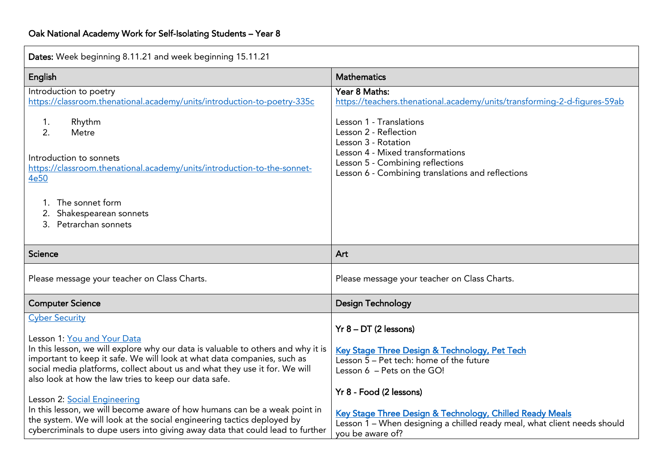| Dates: Week beginning 8.11.21 and week beginning 15.11.21                                                                                                                                                                                                                                                                                                  |                                                                                                                                                                                     |  |
|------------------------------------------------------------------------------------------------------------------------------------------------------------------------------------------------------------------------------------------------------------------------------------------------------------------------------------------------------------|-------------------------------------------------------------------------------------------------------------------------------------------------------------------------------------|--|
| English                                                                                                                                                                                                                                                                                                                                                    | <b>Mathematics</b>                                                                                                                                                                  |  |
| Introduction to poetry<br>https://classroom.thenational.academy/units/introduction-to-poetry-335c                                                                                                                                                                                                                                                          | Year 8 Maths:<br>https://teachers.thenational.academy/units/transforming-2-d-figures-59ab<br>Lesson 1 - Translations                                                                |  |
| Rhythm<br>1.<br>2.<br>Metre                                                                                                                                                                                                                                                                                                                                | Lesson 2 - Reflection<br>Lesson 3 - Rotation<br>Lesson 4 - Mixed transformations                                                                                                    |  |
| Introduction to sonnets<br>https://classroom.thenational.academy/units/introduction-to-the-sonnet-<br>4e50                                                                                                                                                                                                                                                 | Lesson 5 - Combining reflections<br>Lesson 6 - Combining translations and reflections                                                                                               |  |
| The sonnet form<br>Shakespearean sonnets<br>Petrarchan sonnets<br>3.                                                                                                                                                                                                                                                                                       |                                                                                                                                                                                     |  |
| Science                                                                                                                                                                                                                                                                                                                                                    | Art                                                                                                                                                                                 |  |
| Please message your teacher on Class Charts.                                                                                                                                                                                                                                                                                                               | Please message your teacher on Class Charts.                                                                                                                                        |  |
| <b>Computer Science</b>                                                                                                                                                                                                                                                                                                                                    | <b>Design Technology</b>                                                                                                                                                            |  |
| <b>Cyber Security</b><br>Lesson 1: You and Your Data<br>In this lesson, we will explore why our data is valuable to others and why it is<br>important to keep it safe. We will look at what data companies, such as<br>social media platforms, collect about us and what they use it for. We will<br>also look at how the law tries to keep our data safe. | $Yr$ 8 – DT (2 lessons)<br>Key Stage Three Design & Technology, Pet Tech<br>Lesson 5 - Pet tech: home of the future<br>Lesson 6 - Pets on the GO!                                   |  |
| Lesson 2: Social Engineering<br>In this lesson, we will become aware of how humans can be a weak point in<br>the system. We will look at the social engineering tactics deployed by<br>cybercriminals to dupe users into giving away data that could lead to further                                                                                       | Yr 8 - Food (2 lessons)<br>Key Stage Three Design & Technology, Chilled Ready Meals<br>Lesson 1 - When designing a chilled ready meal, what client needs should<br>you be aware of? |  |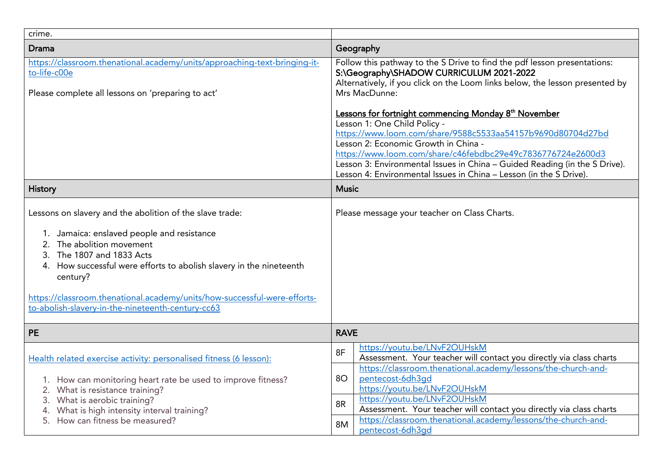| crime.                                                                                                                                                                                                                                                                                                                                                                            |                                                                                                                                                                                                                                                                                                                                                                                                                            |  |  |
|-----------------------------------------------------------------------------------------------------------------------------------------------------------------------------------------------------------------------------------------------------------------------------------------------------------------------------------------------------------------------------------|----------------------------------------------------------------------------------------------------------------------------------------------------------------------------------------------------------------------------------------------------------------------------------------------------------------------------------------------------------------------------------------------------------------------------|--|--|
| <b>Drama</b>                                                                                                                                                                                                                                                                                                                                                                      | Geography                                                                                                                                                                                                                                                                                                                                                                                                                  |  |  |
| https://classroom.thenational.academy/units/approaching-text-bringing-it-<br>to-life-c00e<br>Please complete all lessons on 'preparing to act'                                                                                                                                                                                                                                    | Follow this pathway to the S Drive to find the pdf lesson presentations:<br>S:\Geography\SHADOW CURRICULUM 2021-2022<br>Alternatively, if you click on the Loom links below, the lesson presented by<br>Mrs MacDunne:                                                                                                                                                                                                      |  |  |
|                                                                                                                                                                                                                                                                                                                                                                                   | Lessons for fortnight commencing Monday 8 <sup>th</sup> November<br>Lesson 1: One Child Policy -<br>https://www.loom.com/share/9588c5533aa54157b9690d80704d27bd<br>Lesson 2: Economic Growth in China -<br>https://www.loom.com/share/c46febdbc29e49c7836776724e2600d3<br>Lesson 3: Environmental Issues in China - Guided Reading (in the S Drive).<br>Lesson 4: Environmental Issues in China - Lesson (in the S Drive). |  |  |
| <b>History</b>                                                                                                                                                                                                                                                                                                                                                                    | <b>Music</b>                                                                                                                                                                                                                                                                                                                                                                                                               |  |  |
| Lessons on slavery and the abolition of the slave trade:<br>1. Jamaica: enslaved people and resistance<br>The abolition movement<br>3. The 1807 and 1833 Acts<br>4. How successful were efforts to abolish slavery in the nineteenth<br>century?<br>https://classroom.thenational.academy/units/how-successful-were-efforts-<br>to-abolish-slavery-in-the-nineteenth-century-cc63 | Please message your teacher on Class Charts.                                                                                                                                                                                                                                                                                                                                                                               |  |  |
| <b>PE</b>                                                                                                                                                                                                                                                                                                                                                                         | <b>RAVE</b>                                                                                                                                                                                                                                                                                                                                                                                                                |  |  |
| Health related exercise activity: personalised fitness (6 lesson):                                                                                                                                                                                                                                                                                                                | https://youtu.be/LNvF2OUHskM<br>8F<br>Assessment. Your teacher will contact you directly via class charts                                                                                                                                                                                                                                                                                                                  |  |  |
| 1. How can monitoring heart rate be used to improve fitness?<br>2. What is resistance training?<br>What is aerobic training?<br>What is high intensity interval training?<br>5. How can fitness be measured?                                                                                                                                                                      | https://classroom.thenational.academy/lessons/the-church-and-<br>80<br>pentecost-6dh3gd<br>https://youtu.be/LNvF2OUHskM<br>https://youtu.be/LNvF2OUHskM<br>8R                                                                                                                                                                                                                                                              |  |  |
|                                                                                                                                                                                                                                                                                                                                                                                   | Assessment. Your teacher will contact you directly via class charts<br>https://classroom.thenational.academy/lessons/the-church-and-<br><b>8M</b><br>pentecost-6dh3gd                                                                                                                                                                                                                                                      |  |  |